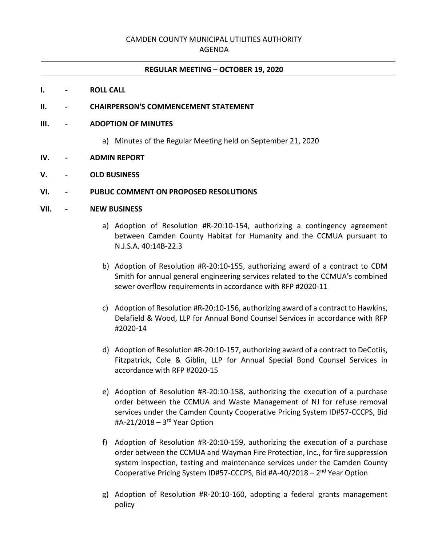# CAMDEN COUNTY MUNICIPAL UTILITIES AUTHORITY

AGENDA

## **REGULAR MEETING – OCTOBER 19, 2020**

#### **I. - ROLL CALL**

## **II. - CHAIRPERSON'S COMMENCEMENT STATEMENT**

#### **III. - ADOPTION OF MINUTES**

a) Minutes of the Regular Meeting held on September 21, 2020

#### **IV. - ADMIN REPORT**

## **V. - OLD BUSINESS**

#### **VI. - PUBLIC COMMENT ON PROPOSED RESOLUTIONS**

## **VII. - NEW BUSINESS**

- a) Adoption of Resolution #R-20:10-154, authorizing a contingency agreement between Camden County Habitat for Humanity and the CCMUA pursuant to N.J.S.A. 40:14B-22.3
- b) Adoption of Resolution #R-20:10-155, authorizing award of a contract to CDM Smith for annual general engineering services related to the CCMUA's combined sewer overflow requirements in accordance with RFP #2020-11
- c) Adoption of Resolution #R-20:10-156, authorizing award of a contract to Hawkins, Delafield & Wood, LLP for Annual Bond Counsel Services in accordance with RFP #2020-14
- d) Adoption of Resolution #R-20:10-157, authorizing award of a contract to DeCotiis, Fitzpatrick, Cole & Giblin, LLP for Annual Special Bond Counsel Services in accordance with RFP #2020-15
- e) Adoption of Resolution #R-20:10-158, authorizing the execution of a purchase order between the CCMUA and Waste Management of NJ for refuse removal services under the Camden County Cooperative Pricing System ID#57-CCCPS, Bid #A-21/2018 – 3 rd Year Option
- f) Adoption of Resolution #R-20:10-159, authorizing the execution of a purchase order between the CCMUA and Wayman Fire Protection, Inc., for fire suppression system inspection, testing and maintenance services under the Camden County Cooperative Pricing System ID#57-CCCPS, Bid #A-40/2018 - 2<sup>nd</sup> Year Option
- g) Adoption of Resolution #R-20:10-160, adopting a federal grants management policy